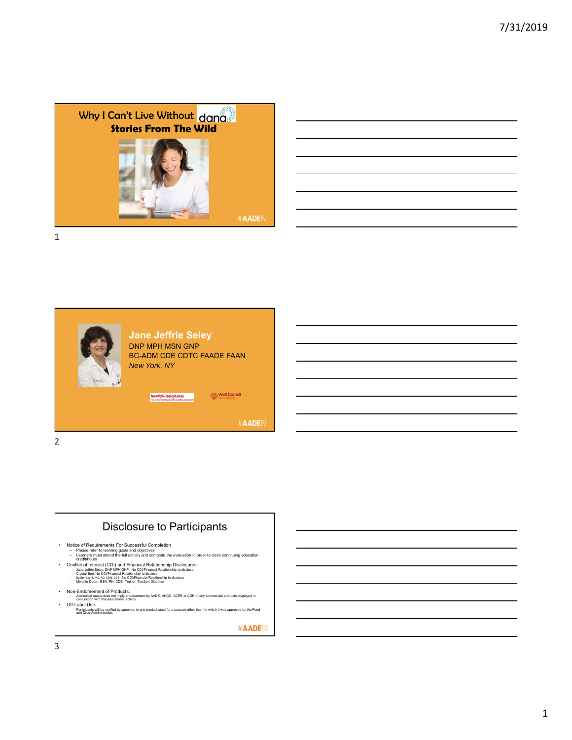

| the contract of the contract of the contract of the contract of the contract of the contract of the contract of      |  |  |
|----------------------------------------------------------------------------------------------------------------------|--|--|
|                                                                                                                      |  |  |
| <u> 1989 - Andrea Santa Andrea Andrea Andrea Andrea Andrea Andrea Andrea Andrea Andrea Andrea Andrea Andrea Andr</u> |  |  |
| 图1-10-10-20 Control 2010 Control 2010 Control 2010 Control 2010 Control 2010 Co                                      |  |  |
|                                                                                                                      |  |  |

 $\overline{\phantom{0}}$ 

▃





- 
- Conflict of Interest (COI) and Financial Relationship Disclosures:<br>- Jane Jeffins Seley, DNP MPH GNP- No COI/Financial Relationship to disclose<br>- Crystal Broj, No COI/Financial Relationship to disclose<br>- Rachel Stah, MS,
	-
	-
- 
- Non-Endorsement of Products:<br>- Accredited status does not imply endorsement by AADE, ANCC, ACPE or CDR of any commercial products displayed in<br>- Orificable Use:<br>- Off-Label Use:<br>- and Dixia Attilliants will be notified b
	-

#AADE<sup>19</sup>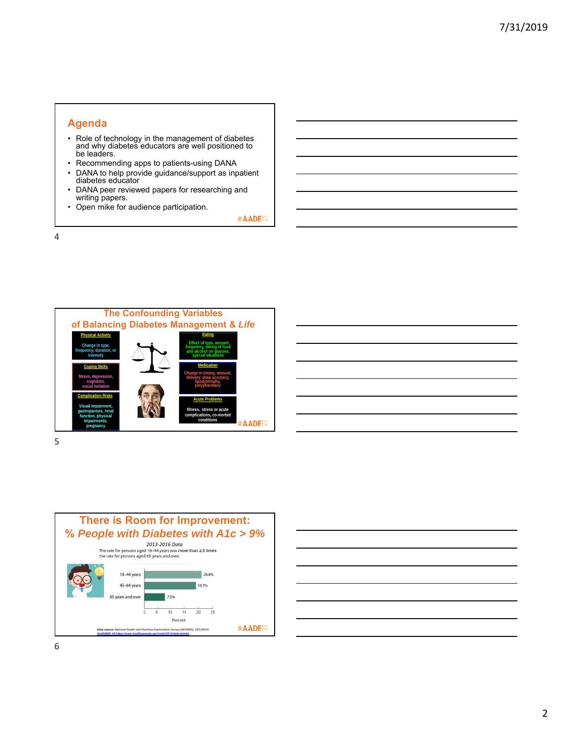### **Agenda**

- Role of technology in the management of diabetes and why diabetes educators are well positioned to be leaders.
- Recommending apps to patients-using DANA
- DANA to help provide guidance/support as inpatient diabetes educator
- DANA peer reviewed papers for researching and writing papers.
- Open mike for audience participation.

#AADE<sup>19</sup>

4





| <u> Andreas Andreas Andreas Andreas Andreas Andreas Andreas Andreas Andreas Andreas Andreas Andreas Andreas Andr</u> |  |  |  |
|----------------------------------------------------------------------------------------------------------------------|--|--|--|
|                                                                                                                      |  |  |  |
|                                                                                                                      |  |  |  |
|                                                                                                                      |  |  |  |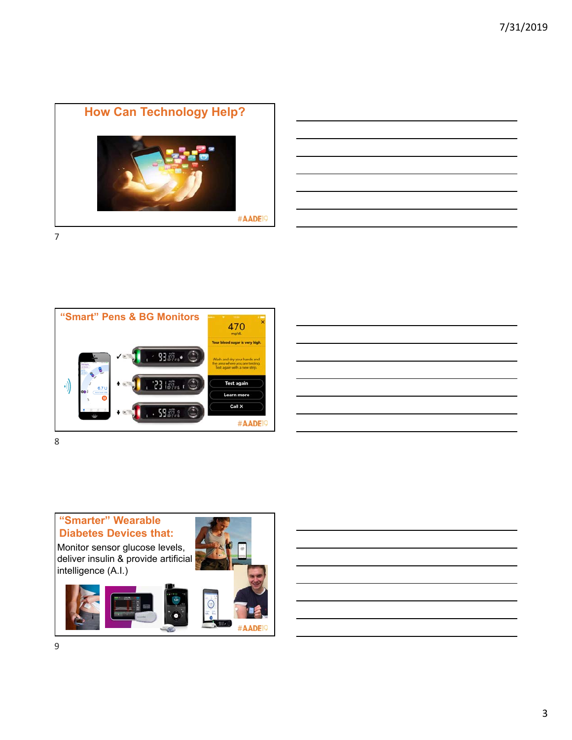

| <u> 1989 - Johann John Stoff, deutscher Stoffen und der Stoffen und der Stoffen und der Stoffen und der Stoffen u</u> |  |  |
|-----------------------------------------------------------------------------------------------------------------------|--|--|
|                                                                                                                       |  |  |
|                                                                                                                       |  |  |
| ,我们的人们也不会有一个人的人,我们也不会有一个人的人,我们也不会有一个人的人,我们也不会有一个人的人,我们也不会有一个人的人,我们也不会有一个人的人,我们也不会                                     |  |  |
|                                                                                                                       |  |  |
|                                                                                                                       |  |  |
|                                                                                                                       |  |  |





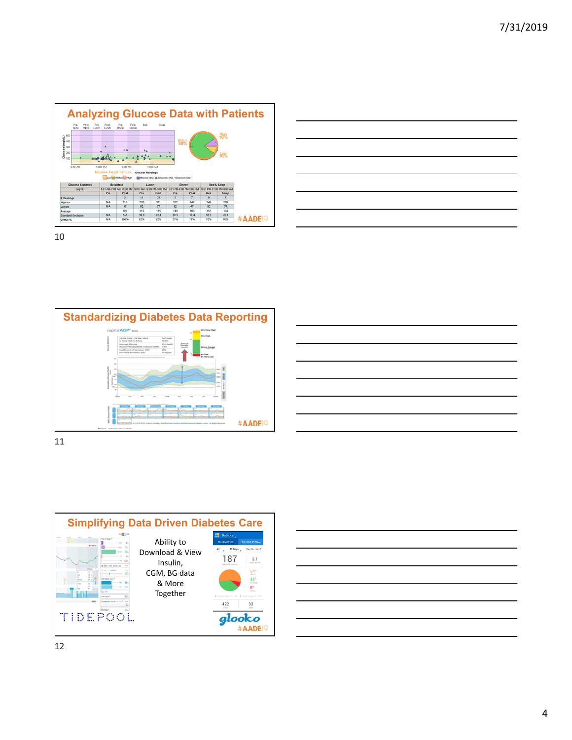





| <u> La componenta de la componenta de la componenta de la componenta de la componenta de la componenta de la compo</u> |  |  |
|------------------------------------------------------------------------------------------------------------------------|--|--|
| <u>a sa sa salawan sa sana sa sana sa sana sa sana sa sana sa sana sa sana sa sana sa sa sa sa sa sa sa sa sa sa</u>   |  |  |
|                                                                                                                        |  |  |
| <u>se estados de la contrada de la contrada de la contrada de la contrada de la contrada de la contrada de la co</u>   |  |  |
|                                                                                                                        |  |  |
| <u> Alexander de la contrada de la contrada de la contrada de la contrada de la contrada de la contrada de la con</u>  |  |  |
| and the contract of the contract of the contract of the contract of the contract of the contract of the contract of    |  |  |
|                                                                                                                        |  |  |



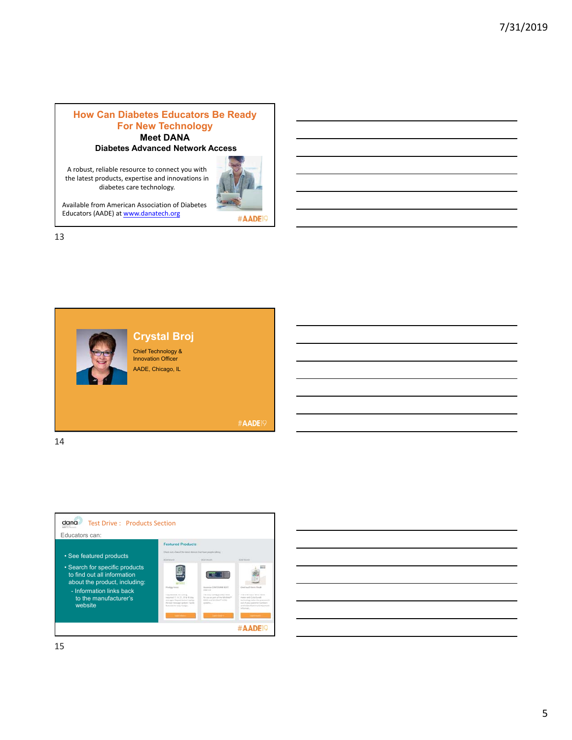#### **How Can Diabetes Educators Be Ready For New Technology Meet DANA Diabetes Advanced Network Access**

A robust, reliable resource to connect you with the latest products, expertise and innovations in diabetes care technology.



Available from American Association of Diabetes Educators (AADE) at www.danatech.org

13





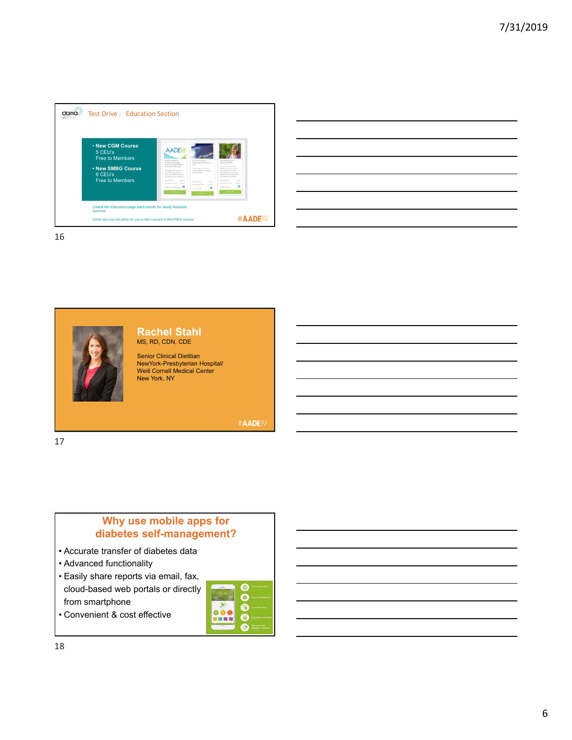

|  |  | <u> 1989 - Johann Barn, mars ann an t-Amhain ann an t-Amhain ann an t-Amhain ann an t-Amhain an t-Amhain ann an t-</u> |
|--|--|------------------------------------------------------------------------------------------------------------------------|
|  |  |                                                                                                                        |
|  |  | <u> 1989 - Johann Stoff, amerikansk politiker (d. 1989)</u>                                                            |
|  |  |                                                                                                                        |
|  |  | <u> 1989 - Andrea Santa Andrea Andrea Andrea Andrea Andrea Andrea Andrea Andrea Andrea Andrea Andrea Andrea Andr</u>   |
|  |  |                                                                                                                        |
|  |  | ,我们也不会有什么。""我们的人,我们也不会有什么?""我们的人,我们也不会有什么?""我们的人,我们也不会有什么?""我们的人,我们也不会有什么?""我们的人                                       |



#### **Rachel Stahl** MS, RD, CDN, CDE

Senior Clinical Dietitian NewYork-Presbyterian Hospital/ Weill Cornell Medical Center New York, NY

**#AADE19** 

17

# **Why use mobile apps for diabetes self-management?**

- Accurate transfer of diabetes data
- Advanced functionality
- Easily share reports via email, fax, cloud-based web portals or directly from smartphone

|     | <b>Nour synced</b><br>œ            |
|-----|------------------------------------|
|     | Your estimated AS                  |
|     | Your COM data                      |
| 恩恩局 | 扁<br>Calculate your be             |
|     | Your personal<br>diabetes coaching |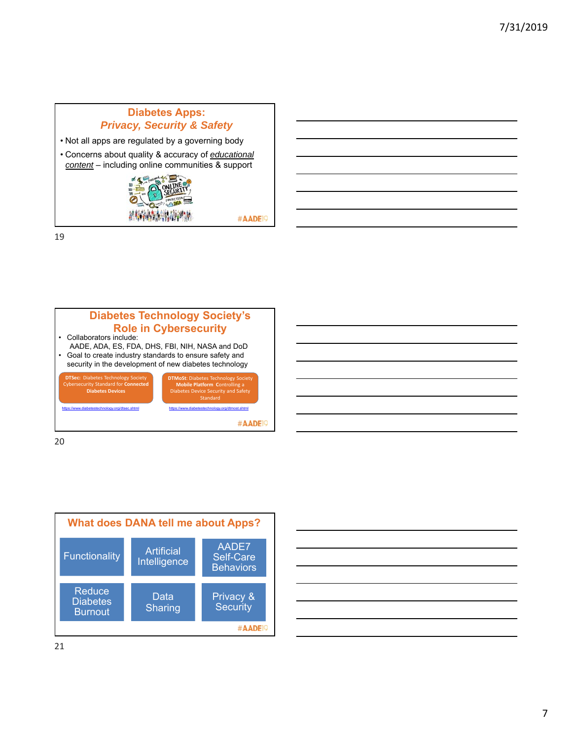# **Diabetes Apps:** *Privacy, Security & Safety*

- Not all apps are regulated by a governing body
- Concerns about quality & accuracy of *educational content* – including online communities & support



#AADE<sup>19</sup>

19



20



|  | <u> 1989 - Johann Harry Harry Harry Harry Harry Harry Harry Harry Harry Harry Harry Harry Harry Harry Harry Harry</u> |  |  |                                   |
|--|-----------------------------------------------------------------------------------------------------------------------|--|--|-----------------------------------|
|  | <u> Alexandro de la contrada de la contrada de la contrada de la contrada de la contrada de la contrada de la con</u> |  |  |                                   |
|  | <u> 1989 - Johann Harry Harry Harry Harry Harry Harry Harry Harry Harry Harry Harry Harry Harry Harry Harry Harry</u> |  |  |                                   |
|  |                                                                                                                       |  |  | and the control of the control of |
|  | <u> 1989 - Johann Harry Harry Harry Harry Harry Harry Harry Harry Harry Harry Harry Harry Harry Harry Harry Harry</u> |  |  |                                   |
|  | ,我们也不会有一个人的事情。""我们的人,我们也不会有一个人的人,我们也不会有一个人的人,我们也不会有一个人的人,我们也不会有一个人的人,我们也不会有一个人的人,                                     |  |  |                                   |
|  |                                                                                                                       |  |  |                                   |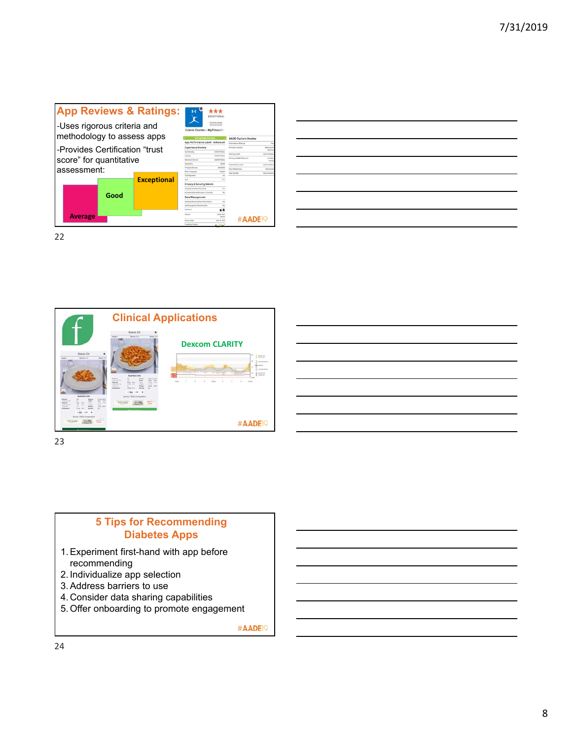





23

# **5 Tips for Recommending Diabetes Apps**

- 1. Experiment first-hand with app before recommending
- 2. Individualize app selection
- 3. Address barriers to use
- 4. Consider data sharing capabilities
- 5. Offer onboarding to promote engagement

#AADE<sup>19</sup>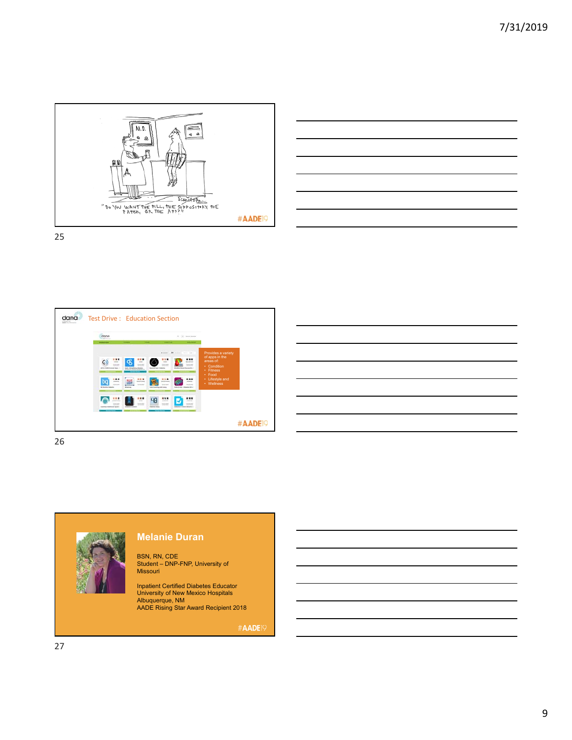









#### **Melanie Duran**

BSN, RN, CDE Student – DNP-FNP, University of Missouri

Inpatient Certified Diabetes Educator University of New Mexico Hospitals Albuquerque, NM AADE Rising Star Award Recipient 2018

#AADE<sup>19</sup>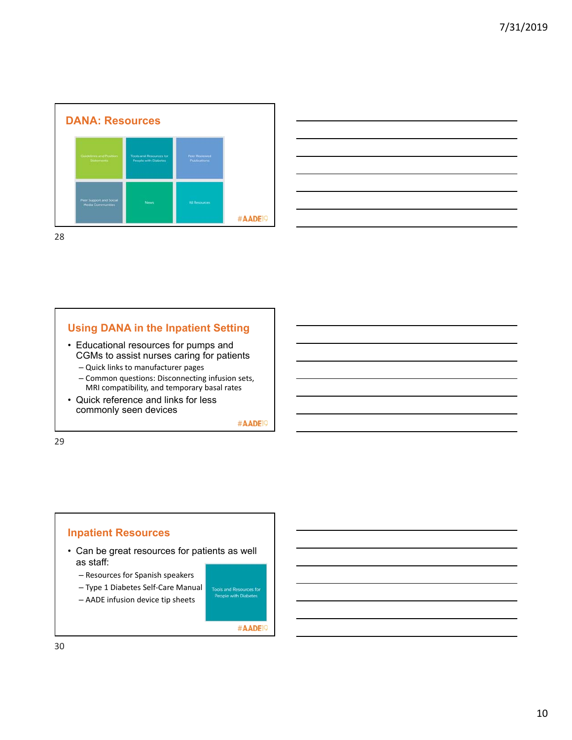



### **Using DANA in the Inpatient Setting**

- Educational resources for pumps and CGMs to assist nurses caring for patients – Quick links to manufacturer pages
	- Common questions: Disconnecting infusion sets, MRI compatibility, and temporary basal rates
- Quick reference and links for less commonly seen devices

#AADE<sup>19</sup>

29

### **Inpatient Resources**

- Can be great resources for patients as well as staff:
	- Resources for Spanish speakers
	- Type 1 Diabetes Self‐Care Manual
	- AADE infusion device tip sheets

Tools and Resources for<br>People with Diabetes

#AADE<sup>9</sup>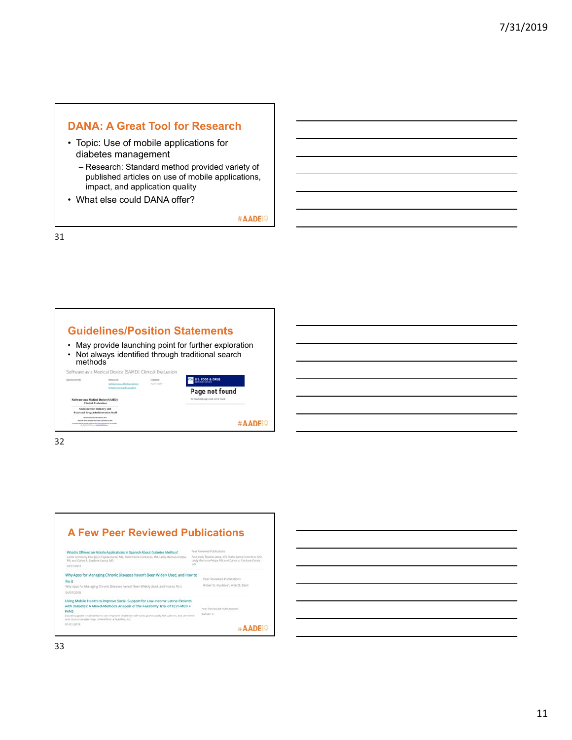## **DANA: A Great Tool for Research**

- Topic: Use of mobile applications for diabetes management
	- Research: Standard method provided variety of published articles on use of mobile applications, impact, and application quality
- What else could DANA offer?

#AADE<sup>19</sup>

31





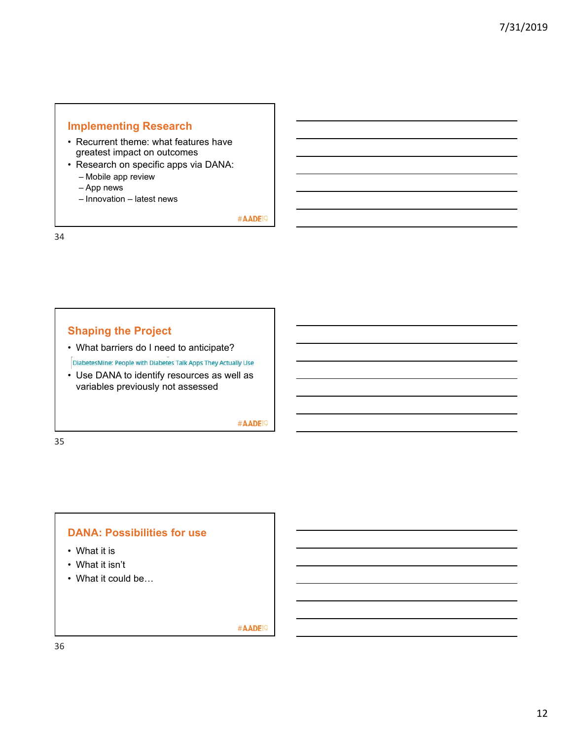## **Implementing Research**

- Recurrent theme: what features have greatest impact on outcomes
- Research on specific apps via DANA: – Mobile app review
	- App news
	- Innovation latest news

#AADE<sup>19</sup>

34

## **Shaping the Project**

• What barriers do I need to anticipate?

DiabetesMine: People with Diabetes Talk Apps They Actually Use

• Use DANA to identify resources as well as variables previously not assessed

#AADE<sup>19</sup>

35

#### **DANA: Possibilities for use**

- What it is
- What it isn't
- What it could be…

#AADE<sup>19</sup>